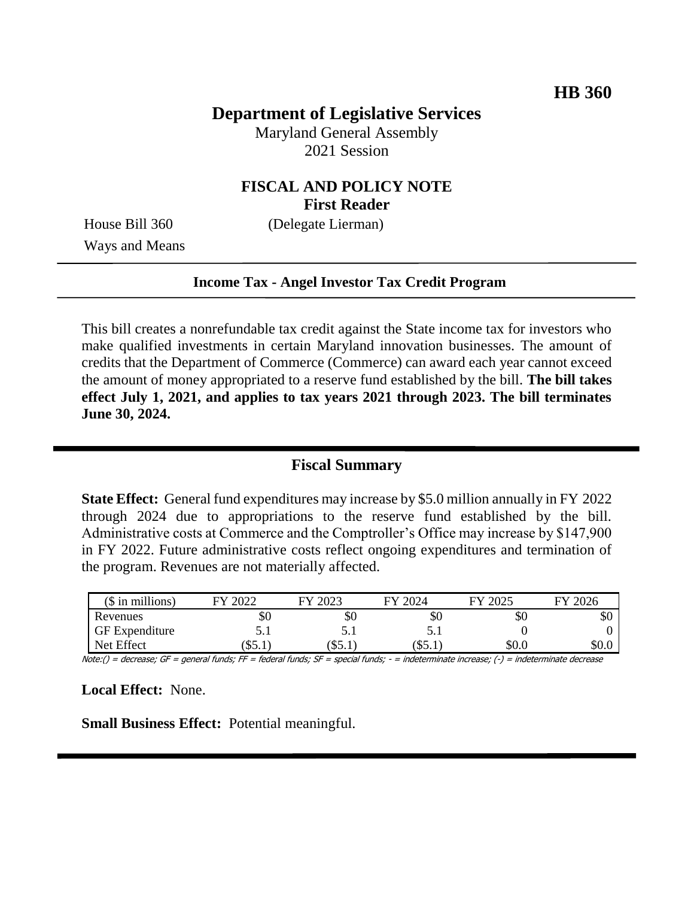# **Department of Legislative Services**

Maryland General Assembly 2021 Session

## **FISCAL AND POLICY NOTE First Reader**

House Bill 360 (Delegate Lierman)

Ways and Means

#### **Income Tax - Angel Investor Tax Credit Program**

This bill creates a nonrefundable tax credit against the State income tax for investors who make qualified investments in certain Maryland innovation businesses. The amount of credits that the Department of Commerce (Commerce) can award each year cannot exceed the amount of money appropriated to a reserve fund established by the bill. **The bill takes effect July 1, 2021, and applies to tax years 2021 through 2023. The bill terminates June 30, 2024.**

### **Fiscal Summary**

**State Effect:** General fund expenditures may increase by \$5.0 million annually in FY 2022 through 2024 due to appropriations to the reserve fund established by the bill. Administrative costs at Commerce and the Comptroller's Office may increase by \$147,900 in FY 2022. Future administrative costs reflect ongoing expenditures and termination of the program. Revenues are not materially affected.

| $($$ in millions)     | 2022<br>FУ | 2023<br>FV | 2024<br>FV | FY 2025 | 2026<br>FV |
|-----------------------|------------|------------|------------|---------|------------|
| Revenues              | эU         | Y0         | УU         | УU      | \$0        |
| <b>GF</b> Expenditure | ◡.         | ◡.         | ◡.         |         |            |
| Net Effect            | \$5.1      | (35.1)     | (S5.1)     | \$0.0   | \$0.0      |

Note:() = decrease; GF = general funds; FF = federal funds; SF = special funds; - = indeterminate increase; (-) = indeterminate decrease

**Local Effect:** None.

**Small Business Effect:** Potential meaningful.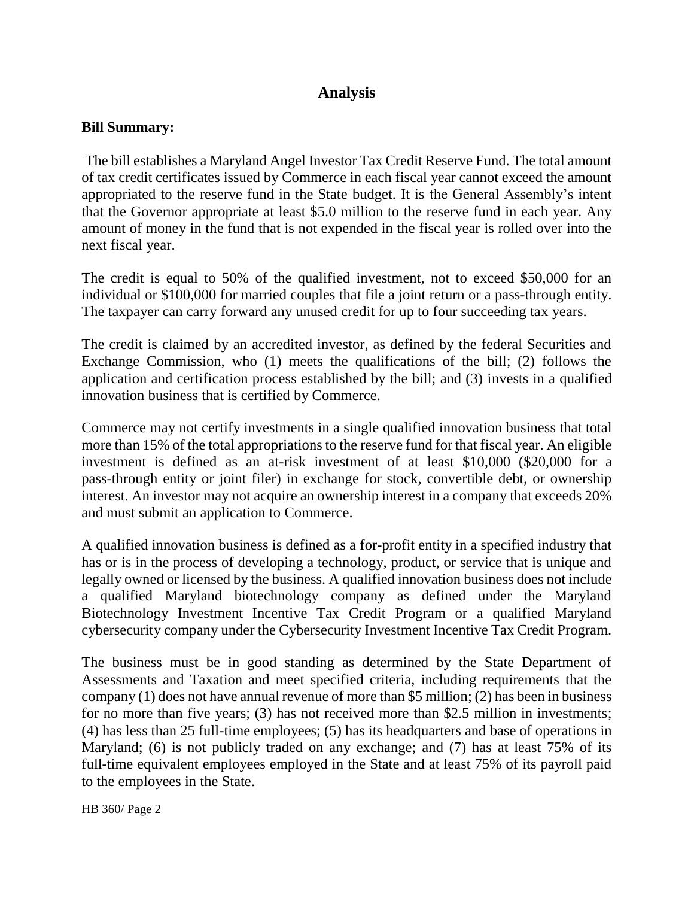# **Analysis**

#### **Bill Summary:**

The bill establishes a Maryland Angel Investor Tax Credit Reserve Fund*.* The total amount of tax credit certificates issued by Commerce in each fiscal year cannot exceed the amount appropriated to the reserve fund in the State budget. It is the General Assembly's intent that the Governor appropriate at least \$5.0 million to the reserve fund in each year. Any amount of money in the fund that is not expended in the fiscal year is rolled over into the next fiscal year.

The credit is equal to 50% of the qualified investment, not to exceed \$50,000 for an individual or \$100,000 for married couples that file a joint return or a pass-through entity. The taxpayer can carry forward any unused credit for up to four succeeding tax years.

The credit is claimed by an accredited investor, as defined by the federal Securities and Exchange Commission, who (1) meets the qualifications of the bill; (2) follows the application and certification process established by the bill; and (3) invests in a qualified innovation business that is certified by Commerce.

Commerce may not certify investments in a single qualified innovation business that total more than 15% of the total appropriations to the reserve fund for that fiscal year. An eligible investment is defined as an at-risk investment of at least \$10,000 (\$20,000 for a pass-through entity or joint filer) in exchange for stock, convertible debt, or ownership interest. An investor may not acquire an ownership interest in a company that exceeds 20% and must submit an application to Commerce.

A qualified innovation business is defined as a for-profit entity in a specified industry that has or is in the process of developing a technology, product, or service that is unique and legally owned or licensed by the business. A qualified innovation business does not include a qualified Maryland biotechnology company as defined under the Maryland Biotechnology Investment Incentive Tax Credit Program or a qualified Maryland cybersecurity company under the Cybersecurity Investment Incentive Tax Credit Program.

The business must be in good standing as determined by the State Department of Assessments and Taxation and meet specified criteria, including requirements that the company (1) does not have annual revenue of more than \$5 million; (2) has been in business for no more than five years; (3) has not received more than \$2.5 million in investments; (4) has less than 25 full-time employees; (5) has its headquarters and base of operations in Maryland; (6) is not publicly traded on any exchange; and (7) has at least 75% of its full-time equivalent employees employed in the State and at least 75% of its payroll paid to the employees in the State.

HB 360/ Page 2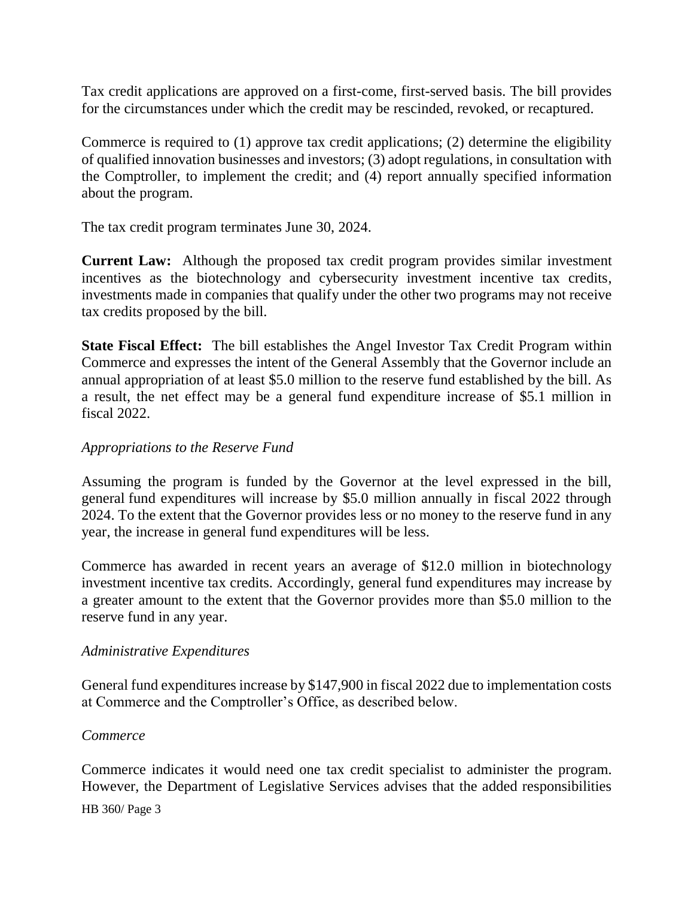Tax credit applications are approved on a first-come, first-served basis. The bill provides for the circumstances under which the credit may be rescinded, revoked, or recaptured.

Commerce is required to (1) approve tax credit applications; (2) determine the eligibility of qualified innovation businesses and investors; (3) adopt regulations, in consultation with the Comptroller, to implement the credit; and (4) report annually specified information about the program.

The tax credit program terminates June 30, 2024.

**Current Law:** Although the proposed tax credit program provides similar investment incentives as the biotechnology and cybersecurity investment incentive tax credits, investments made in companies that qualify under the other two programs may not receive tax credits proposed by the bill.

**State Fiscal Effect:** The bill establishes the Angel Investor Tax Credit Program within Commerce and expresses the intent of the General Assembly that the Governor include an annual appropriation of at least \$5.0 million to the reserve fund established by the bill. As a result, the net effect may be a general fund expenditure increase of \$5.1 million in fiscal 2022.

## *Appropriations to the Reserve Fund*

Assuming the program is funded by the Governor at the level expressed in the bill, general fund expenditures will increase by \$5.0 million annually in fiscal 2022 through 2024. To the extent that the Governor provides less or no money to the reserve fund in any year, the increase in general fund expenditures will be less.

Commerce has awarded in recent years an average of \$12.0 million in biotechnology investment incentive tax credits. Accordingly, general fund expenditures may increase by a greater amount to the extent that the Governor provides more than \$5.0 million to the reserve fund in any year.

## *Administrative Expenditures*

General fund expenditures increase by \$147,900 in fiscal 2022 due to implementation costs at Commerce and the Comptroller's Office, as described below.

## *Commerce*

Commerce indicates it would need one tax credit specialist to administer the program. However, the Department of Legislative Services advises that the added responsibilities

#### HB 360/ Page 3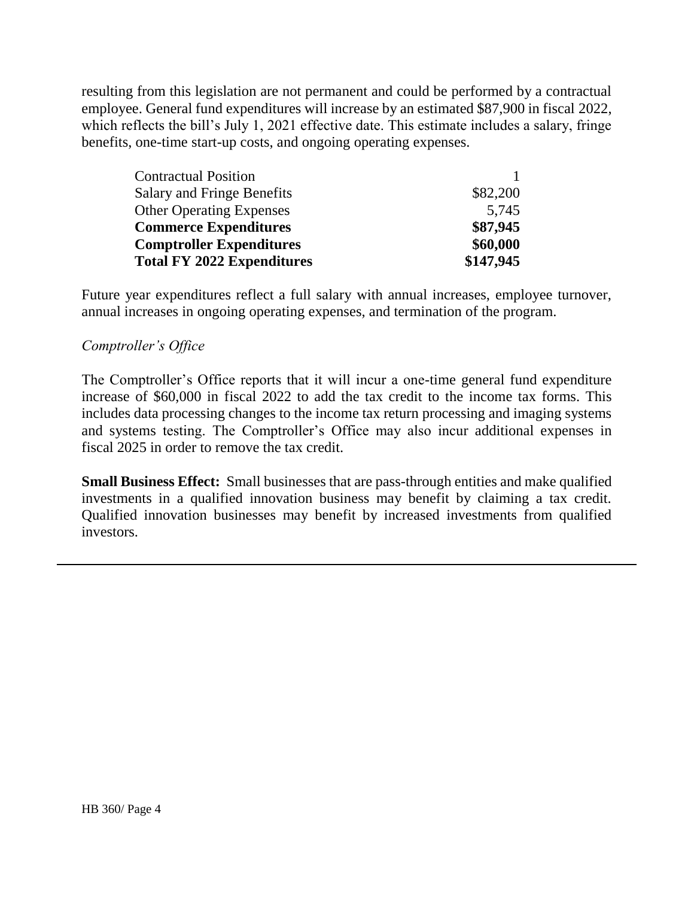resulting from this legislation are not permanent and could be performed by a contractual employee. General fund expenditures will increase by an estimated \$87,900 in fiscal 2022, which reflects the bill's July 1, 2021 effective date. This estimate includes a salary, fringe benefits, one-time start-up costs, and ongoing operating expenses.

| <b>Contractual Position</b>       |           |
|-----------------------------------|-----------|
| <b>Salary and Fringe Benefits</b> | \$82,200  |
| <b>Other Operating Expenses</b>   | 5,745     |
| <b>Commerce Expenditures</b>      | \$87,945  |
| <b>Comptroller Expenditures</b>   | \$60,000  |
| <b>Total FY 2022 Expenditures</b> | \$147,945 |

Future year expenditures reflect a full salary with annual increases, employee turnover, annual increases in ongoing operating expenses, and termination of the program.

#### *Comptroller's Office*

The Comptroller's Office reports that it will incur a one-time general fund expenditure increase of \$60,000 in fiscal 2022 to add the tax credit to the income tax forms. This includes data processing changes to the income tax return processing and imaging systems and systems testing. The Comptroller's Office may also incur additional expenses in fiscal 2025 in order to remove the tax credit.

**Small Business Effect:** Small businesses that are pass-through entities and make qualified investments in a qualified innovation business may benefit by claiming a tax credit. Qualified innovation businesses may benefit by increased investments from qualified investors.